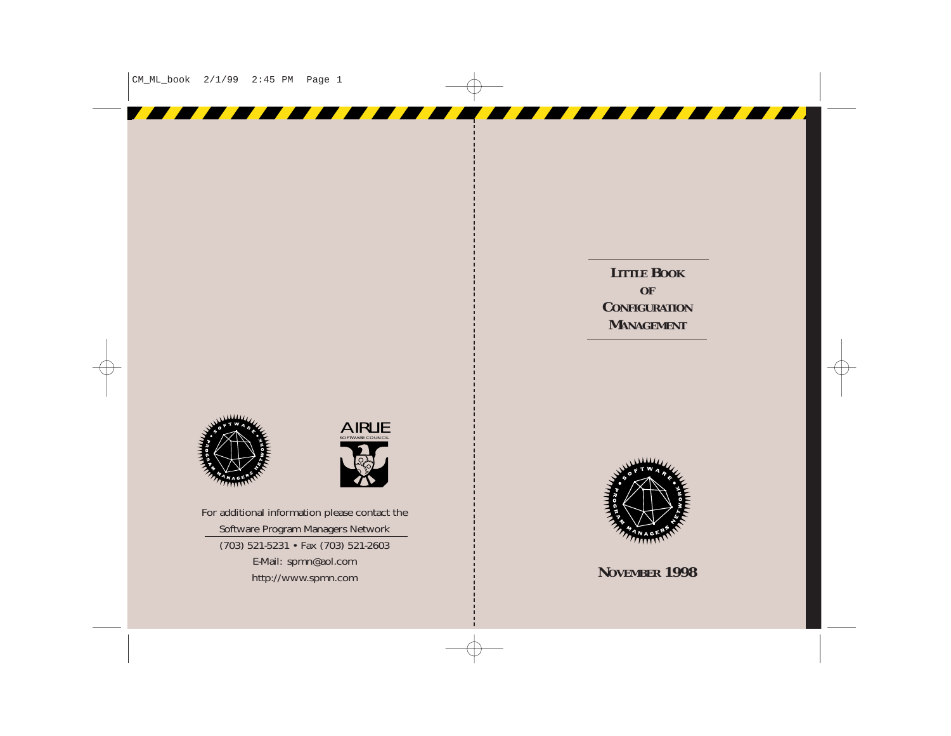**LITTLE BOOKOFCONFIGURATIONMANAGEMENT**





For additional information please contact the Software Program Managers Network (703) 521-5231 • Fax (703) 521-2603 E-Mail: spmn@aol.com http://www.spmn.com



**NOVEMBER 1998**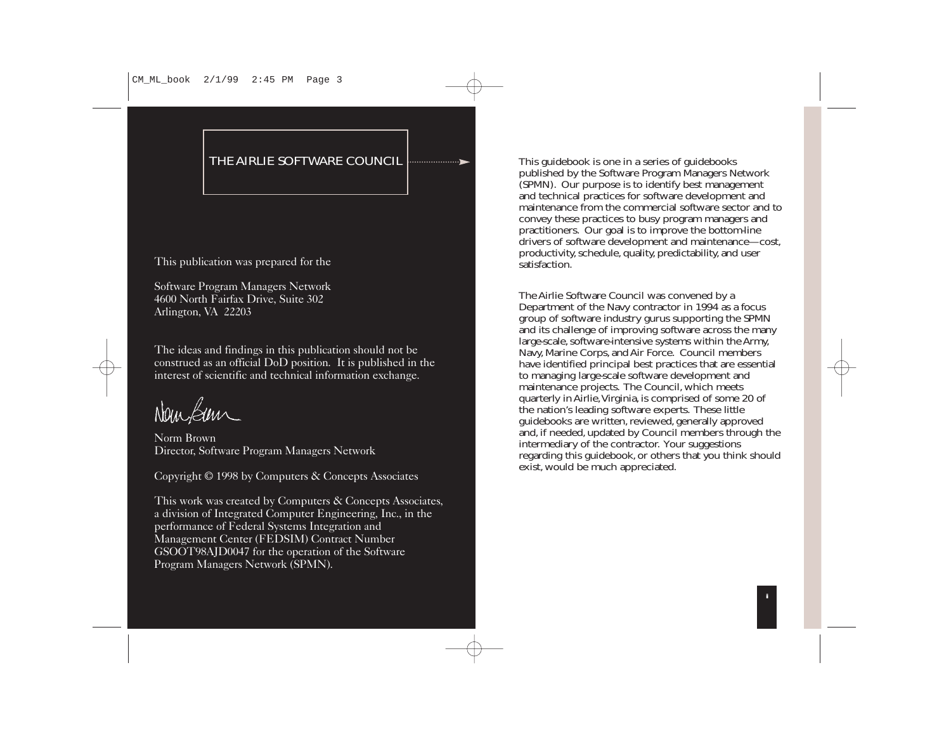### THE AIRLIE SOFTWARE COUNCIL

This publication was prepared for the

Software Program Managers Network 4600 North Fairfax Drive, Suite 302 Arlington, VA 22203

The ideas and findings in this publication should not be construed as an official DoD position. It is published in the interest of scientific and technical information exchange.

New Kim

Norm BrownDirector, Software Program Managers Network

Copyright © 1998 by Computers & Concepts Associates

This work was created by Computers & Concepts Associates, a division of Integrated Computer Engineering, Inc., in the performance of Federal Systems Integration and Management Center (FEDSIM) Contract Number GSOOT98AJD0047 for the operation of the Software Program Managers Network (SPMN).

 This guidebook is one in a series of guidebooks published by the Software Program Managers Network (SPMN). Our purpose is to identify best management and technical practices for software development and maintenance from the commercial software sector and toconvey these practices to busy program managers and practitioners. Our goal is to improve the bottom-line drivers of software development and maintenance—cost, productivity, schedule, quality, predictability, and user satisfaction.

The Airlie Software Council was convened by a Department of the Navy contractor in 1994 as a focus group of software industry gurus supporting the SPMN and its challenge of improving software across the many large-scale, software-intensive systems within the Army, Navy, Marine Corps, and Air Force. Council members have identified principal best practices that are essential to managing large-scale software development and maintenance projects. The Council, which meets quarterly in Airlie,Virginia, is comprised of some 20 of the nation's leading software experts. These little guidebooks are written, reviewed, generally approved and, if needed, updated by Council members through the intermediary of the contractor. Your suggestions regarding this guidebook, or others that you think should exist, would be much appreciated.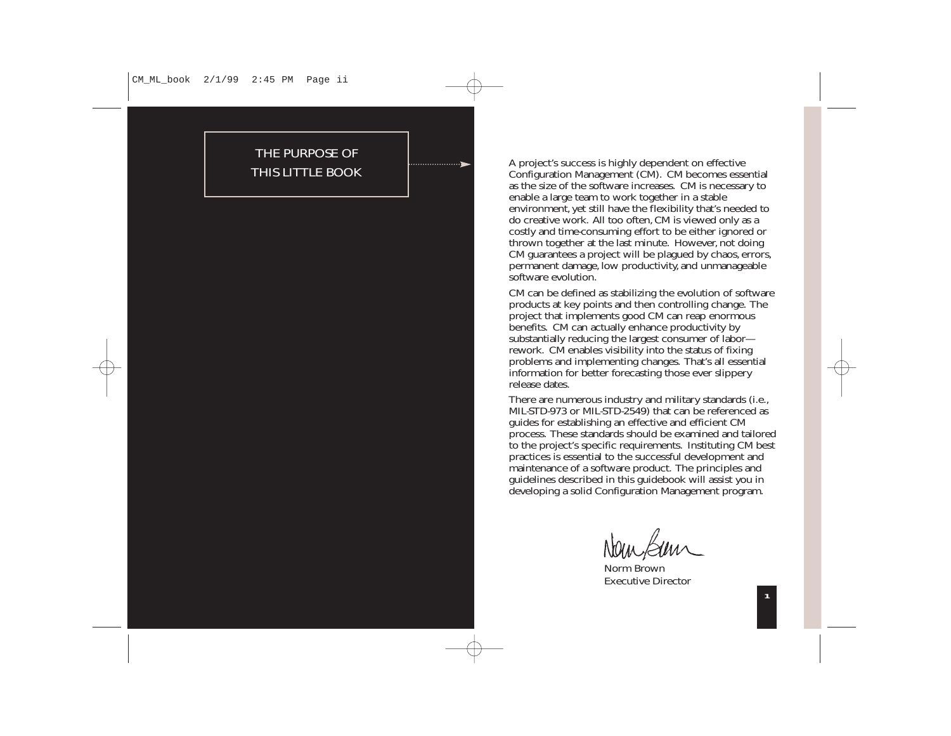### THE PURPOSE OF THIS LITTLE BOOK

. . . . . . . . . . . . . . . . . . 1

A project's success is highly dependent on effective Configuration Management (CM). CM becomes essential as the size of the software increases. CM is necessary to enable a large team to work together in a stable environment, yet still have the flexibility that's needed to do creative work. All too often, CM is viewed only as a costly and time-consuming effort to be either ignored or thrown together at the last minute. However, not doing CM guarantees a project will be plagued by chaos, errors, permanent damage, low productivity, and unmanageable software evolution.

CM can be defined as stabilizing the evolution of software products at key points and then controlling change. The project that implements good CM can reap enormous benefits. CM can actually enhance productivity by substantially reducing the largest consumer of labor rework. CM enables visibility into the status of fixing problems and implementing changes. That's all essential information for better forecasting those ever slippery release dates.

There are numerous industry and military standards (i.e., MIL-STD-973 or MIL-STD-2549) that can be referenced as guides for establishing an effective and efficient CM process. These standards should be examined and tailored to the project's specific requirements. Instituting CM best practices is essential to the successful development and maintenance of a software product. The principles and guidelines described in this guidebook will assist you in developing a solid Configuration Management program.

Norm BrownExecutive Director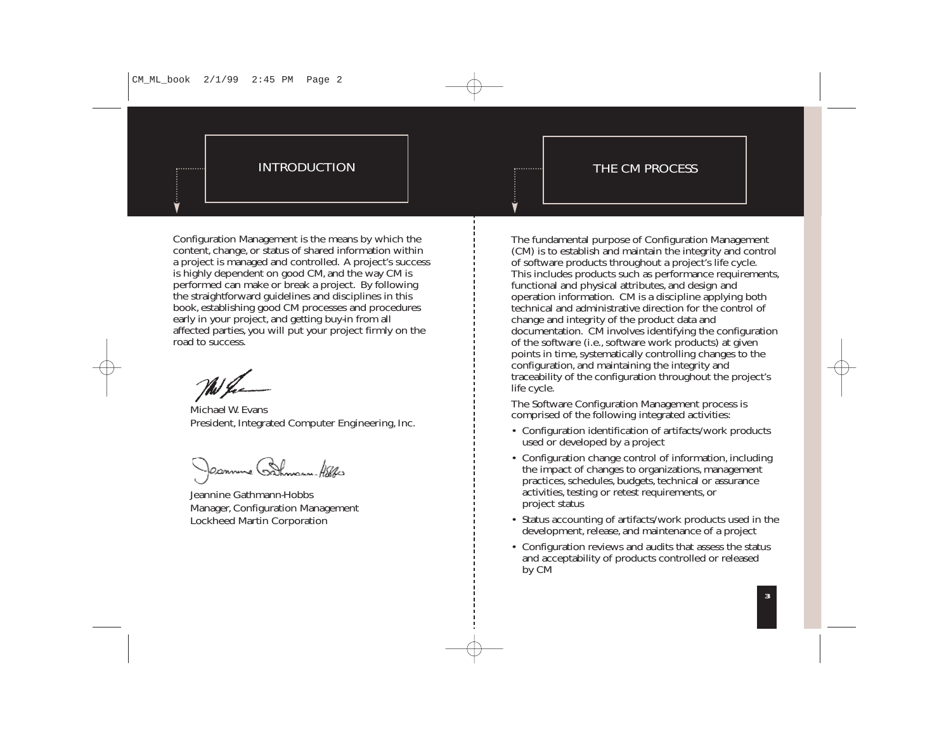. . . . . . . . . . .

### INTRODUCTION

Configuration Management is the means by which the content, change, or status of shared information within a project is managed and controlled. A project's success is highly dependent on good CM, and the way CM is performed can make or break a project. By following the straightforward guidelines and disciplines in this book, establishing good CM processes and procedures early in your project, and getting buy-in from all affected parties, you will put your project firmly on the road to success.

Michael W. EvansPresident, Integrated Computer Engineering, Inc.

Jaamme Bhmann-Hoffes

Jeannine Gathmann-HobbsManager, Configuration Management Lockheed Martin Corporation

The fundamental purpose of Configuration Management (CM) is to establish and maintain the integrity and control of software products throughout a project's life cycle. This includes products such as performance requirements, functional and physical attributes, and design and operation information. CM is a discipline applying both technical and administrative direction for the control of change and integrity of the product data and documentation. CM involves identifying the configuration of the software (i.e., software work products) at given points in time, systematically controlling changes to the configuration, and maintaining the integrity and traceability of the configuration throughout the project's life cycle.

The Software Configuration Management process is comprised of the following integrated activities:

- Configuration identification of artifacts/work products used or developed by a project
- Configuration change control of information, including the impact of changes to organizations, management practices, schedules, budgets, technical or assurance activities, testing or retest requirements, or project status
- Status accounting of artifacts/work products used in the development, release, and maintenance of a project
- Configuration reviews and audits that assess the status and acceptability of products controlled or released by CM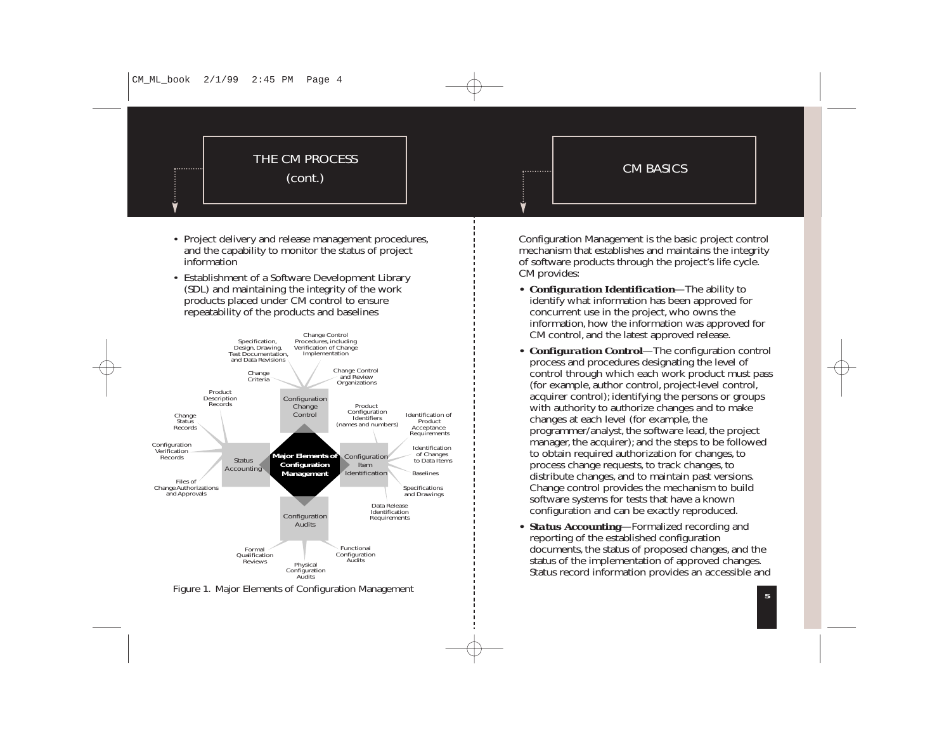# THE CM PROCESS (cont.)

. . . . . . . . . .

### CM BASICS

- Project delivery and release management procedures, and the capability to monitor the status of project information
- Establishment of a Software Development Library (SDL) and maintaining the integrity of the work products placed under CM control to ensure repeatability of the products and baselines



Figure 1. Major Elements of Configuration Management

Configuration Management is the basic project control mechanism that establishes and maintains the integrity of software products through the project's life cycle. CM provides:

∶<br>∀

- *• Configuration Identification*—The ability to identify what information has been approved for concurrent use in the project, who owns the information, how the information was approved for CM control, and the latest approved release.
- *• Configuration Control*—The configuration control process and procedures designating the level of control through which each work product must pass (for example, author control, project-level control, acquirer control); identifying the persons or groups with authority to authorize changes and to make changes at each level (for example, the programmer/analyst, the software lead, the project manager, the acquirer); and the steps to be followed to obtain required authorization for changes, to process change requests, to track changes, to distribute changes, and to maintain past versions. Change control provides the mechanism to build software systems for tests that have a known configuration and can be exactly reproduced.
- *• Status Accounting*—Formalized recording and reporting of the established configuration documents, the status of proposed changes, and the status of the implementation of approved changes. Status record information provides an accessible and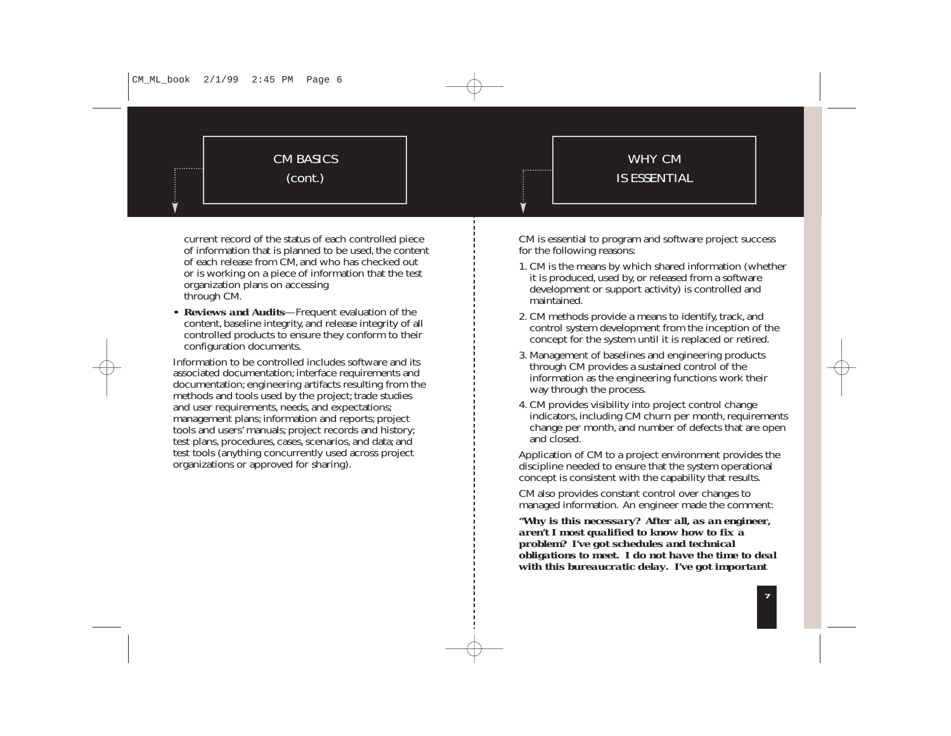### CM BASICS(cont.)

### WHY CMIS ESSENTIAL

current record of the status of each controlled piece of information that is planned to be used, the content of each release from CM, and who has checked out or is working on a piece of information that the test organization plans on accessing through CM.

*• Reviews and Audits*—Frequent evaluation of the content, baseline integrity, and release integrity of all controlled products to ensure they conform to their configuration documents.

Information to be controlled includes software and itsassociated documentation; interface requirements and documentation; engineering artifacts resulting from the methods and tools used by the project; trade studies and user requirements, needs, and expectations; management plans; information and reports; project tools and users' manuals; project records and history; test plans, procedures, cases, scenarios, and data; and test tools (anything concurrently used across project organizations or approved for sharing).

CM is essential to program and software project success for the following reasons:

 $\ddot{\dot{}}$ 

- 1. CM is the means by which shared information (whether it is produced, used by, or released from a software development or support activity) is controlled and maintained.
- 2. CM methods provide a means to identify, track, and control system development from the inception of the concept for the system until it is replaced or retired.
- 3. Management of baselines and engineering products through CM provides a sustained control of the information as the engineering functions work their way through the process.
- 4. CM provides visibility into project control change indicators, including CM churn per month, requirements change per month, and number of defects that are open and closed.

Application of CM to a project environment provides the discipline needed to ensure that the system operational concept is consistent with the capability that results.

CM also provides constant control over changes to managed information. An engineer made the comment:

*"Why is this necessary? After all, as an engineer, aren't I most qualified to know how to fix a problem? I've got schedules and technical obligations to meet. I do not have the time to deal with this bureaucratic delay. I've got important*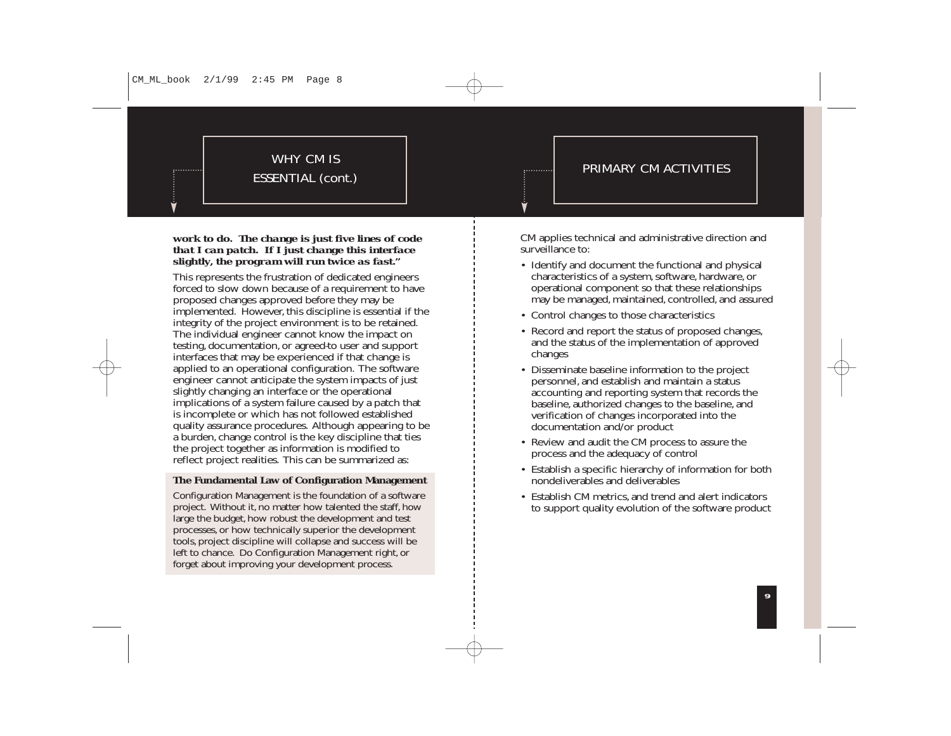## WHY CM IS<br>ESSENTIAL (cont.) The set of the set of the set of the primary CM ACTIVITIES

#### *work to do. The change is just five lines of code that I can patch. If I just change this interface slightly, the program will run twice as fast."*

 $\stackrel{\vdots}{\mathbf{v}}$ 

This represents the frustration of dedicated engineers forced to slow down because of a requirement to have proposed changes approved before they may be implemented. However, this discipline is essential if the integrity of the project environment is to be retained. The individual engineer cannot know the impact on testing, documentation, or agreed-to user and support interfaces that may be experienced if that change is applied to an operational configuration. The software engineer cannot anticipate the system impacts of just slightly changing an interface or the operational implications of a system failure caused by a patch that is incomplete or which has not followed established quality assurance procedures. Although appearing to be a burden, change control is the key discipline that ties the project together as information is modified to reflect project realities. This can be summarized as:

#### **The Fundamental Law of Configuration Management**

Configuration Management is the foundation of a software project. Without it, no matter how talented the staff, how large the budget, how robust the development and test processes, or how technically superior the development tools, project discipline will collapse and success will be left to chance. Do Configuration Management right, or forget about improving your development process.

CM applies technical and administrative direction and surveillance to:

- Identify and document the functional and physical characteristics of a system, software, hardware, or operational component so that these relationships may be managed, maintained, controlled, and assured
- Control changes to those characteristics
- Record and report the status of proposed changes, and the status of the implementation of approved changes
- Disseminate baseline information to the project personnel, and establish and maintain a status accounting and reporting system that records the baseline, authorized changes to the baseline, and verification of changes incorporated into the documentation and/or product
- Review and audit the CM process to assure the process and the adequacy of control
- Establish a specific hierarchy of information for both nondeliverables and deliverables
- Establish CM metrics, and trend and alert indicators to support quality evolution of the software product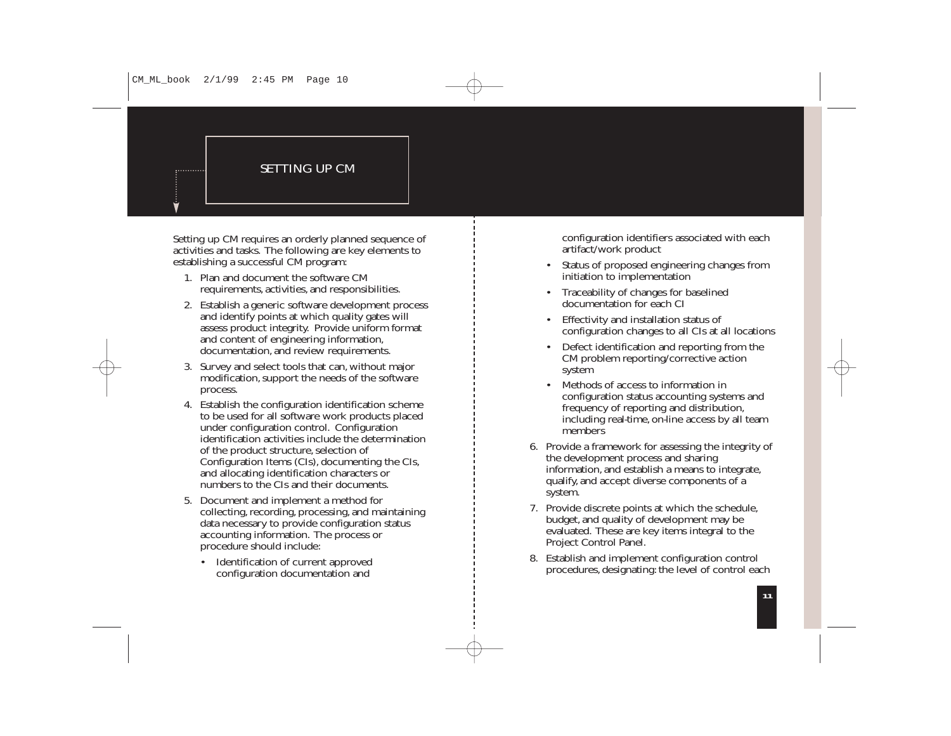### SETTING UP CM

Setting up CM requires an orderly planned sequence of activities and tasks. The following are key elements to establishing a successful CM program:

- 1. Plan and document the software CMrequirements, activities, and responsibilities.
- 2. Establish a generic software development process and identify points at which quality gates will assess product integrity. Provide uniform format and content of engineering information, documentation, and review requirements.
- 3. Survey and select tools that can, without major modification, support the needs of the software process.
- 4. Establish the configuration identification scheme to be used for all software work products placed under configuration control. Configuration identification activities include the determinationof the product structure, selection of Configuration Items (CIs), documenting the CIs, and allocating identification characters or numbers to the CIs and their documents.
- 5. Document and implement a method for collecting, recording, processing, and maintaining data necessary to provide configuration status accounting information. The process or procedure should include:
	- • Identification of current approved configuration documentation and

configuration identifiers associated with each artifact/work product

- • Status of proposed engineering changes from initiation to implementation
- • Traceability of changes for baselined documentation for each CI
- • Effectivity and installation status of configuration changes to all CIs at all locations
- Defect identification and reporting from the CM problem reporting/corrective action system
- • Methods of access to information inconfiguration status accounting systems and frequency of reporting and distribution, including real-time, on-line access by all team members
- 6. Provide a framework for assessing the integrity of the development process and sharing information, and establish a means to integrate, qualify, and accept diverse components of a system.
- 7. Provide discrete points at which the schedule, budget, and quality of development may be evaluated. These are key items integral to the Project Control Panel.
- 8. Establish and implement configuration control procedures, designating: the level of control each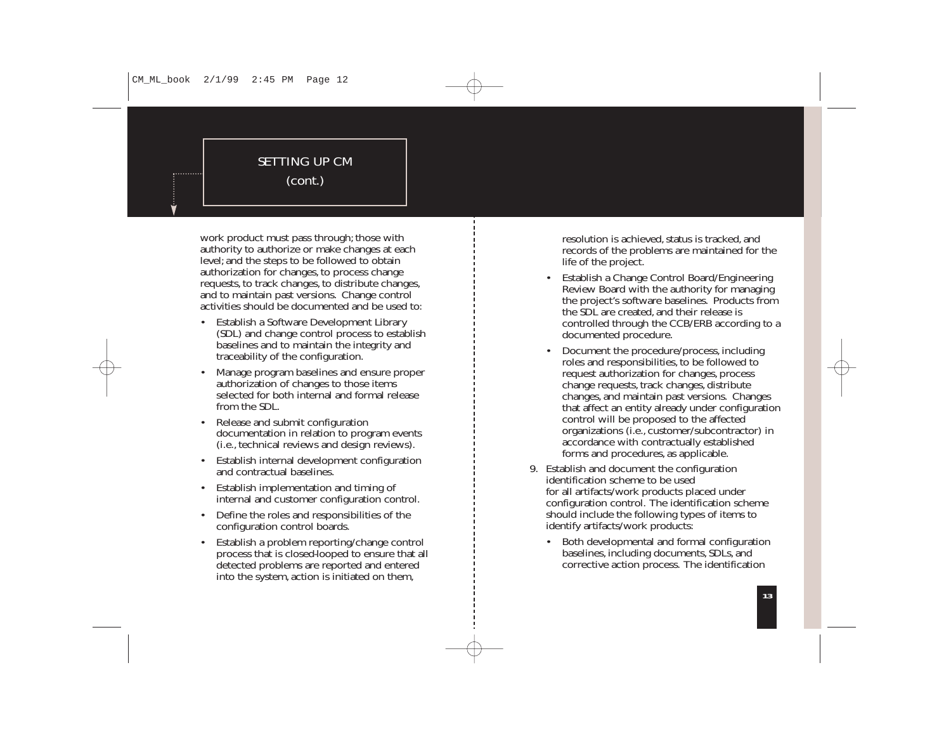### SETTING UP CM

(cont.)

work product must pass through; those with authority to authorize or make changes at each level; and the steps to be followed to obtain authorization for changes, to process change requests, to track changes, to distribute changes, and to maintain past versions. Change control activities should be documented and be used to:

- Establish a Software Development Library (SDL) and change control process to establish baselines and to maintain the integrity and traceability of the configuration.
- • Manage program baselines and ensure proper authorization of changes to those items selected for both internal and formal releasefrom the SDL.
- • Release and submit configuration documentation in relation to program events (i.e., technical reviews and design reviews).
- Establish internal development configuration and contractual baselines.
- • Establish implementation and timing of internal and customer configuration control.
- • Define the roles and responsibilities of the configuration control boards.
- • Establish a problem reporting/change control process that is closed-looped to ensure that all detected problems are reported and entered into the system, action is initiated on them,

resolution is achieved, status is tracked, and records of the problems are maintained for the life of the project.

- • Establish a Change Control Board/Engineering Review Board with the authority for managing the project's software baselines. Products from the SDL are created, and their release is controlled through the CCB/ERB according to a documented procedure.
- • Document the procedure/process, including roles and responsibilities, to be followed to request authorization for changes, process change requests, track changes, distribute changes, and maintain past versions. Changes that affect an entity already under configuration control will be proposed to the affected organizations (i.e., customer/subcontractor) in accordance with contractually established forms and procedures, as applicable.
- 9. Establish and document the configuration identification scheme to be used for all artifacts/work products placed under configuration control. The identification scheme should include the following types of items to identify artifacts/work products:
	- Both developmental and formal configuration baselines, including documents, SDLs, and corrective action process. The identification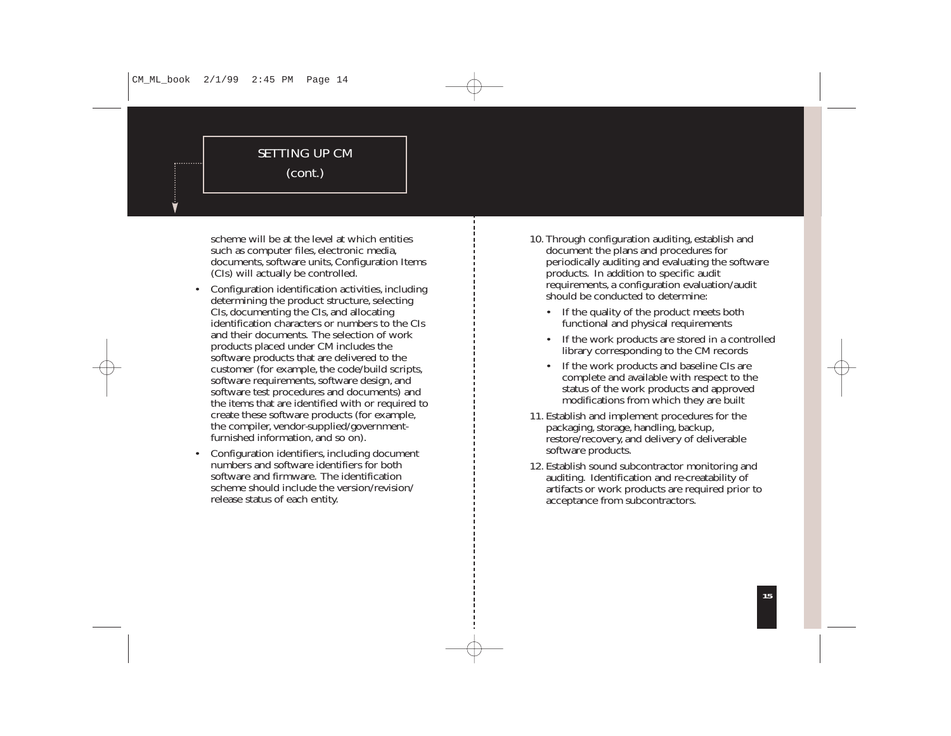### SETTING UP CM

(cont.)

scheme will be at the level at which entitiessuch as computer files, electronic media, documents, software units, Configuration Items (CIs) will actually be controlled.

- • Configuration identification activities, including determining the product structure, selecting CIs, documenting the CIs, and allocating identification characters or numbers to the CIsand their documents. The selection of workproducts placed under CM includes the software products that are delivered to the customer (for example, the code/build scripts, software requirements, software design, and software test procedures and documents) and the items that are identified with or required to create these software products (for example, the compiler, vendor-supplied/governmentfurnished information, and so on).
- • Configuration identifiers, including document numbers and software identifiers for both software and firmware. The identificationscheme should include the version/revision/release status of each entity.
- 10. Through configuration auditing, establish and document the plans and procedures for periodically auditing and evaluating the software products. In addition to specific audit requirements, a configuration evaluation/audit should be conducted to determine:
	- • If the quality of the product meets both functional and physical requirements
	- If the work products are stored in a controlled library corresponding to the CM records
	- • If the work products and baseline CIs are complete and available with respect to the status of the work products and approved modifications from which they are built
- 11. Establish and implement procedures for the packaging, storage, handling, backup, restore/recovery, and delivery of deliverable software products.
- 12. Establish sound subcontractor monitoring and auditing. Identification and re-creatability of artifacts or work products are required prior to acceptance from subcontractors.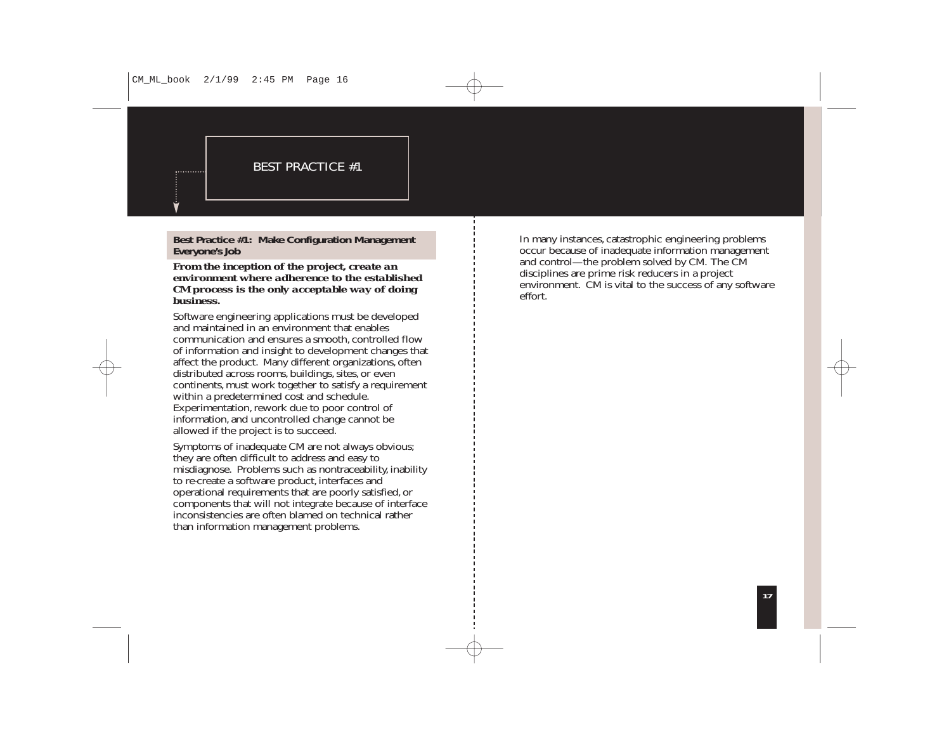

**Best Practice #1: Make Configuration Management Everyone's Job**

. . . . . . . . . .

#### *From the inception of the project, create an environment where adherence to the establishedCM process is the only acceptable way of doing business.*

Software engineering applications must be developed and maintained in an environment that enablescommunication and ensures a smooth, controlled flow of information and insight to development changes that affect the product. Many different organizations, often distributed across rooms, buildings, sites, or even continents, must work together to satisfy a requirement within a predetermined cost and schedule. Experimentation, rework due to poor control of information, and uncontrolled change cannot be allowed if the project is to succeed.

Symptoms of inadequate CM are not always obvious; they are often difficult to address and easy to misdiagnose. Problems such as nontraceability, inability to re-create a software product, interfaces and operational requirements that are poorly satisfied, or components that will not integrate because of interface inconsistencies are often blamed on technical ratherthan information management problems.

In many instances, catastrophic engineering problems occur because of inadequate information management and control—the problem solved by CM. The CM disciplines are prime risk reducers in a project environment. CM is vital to the success of any software effort.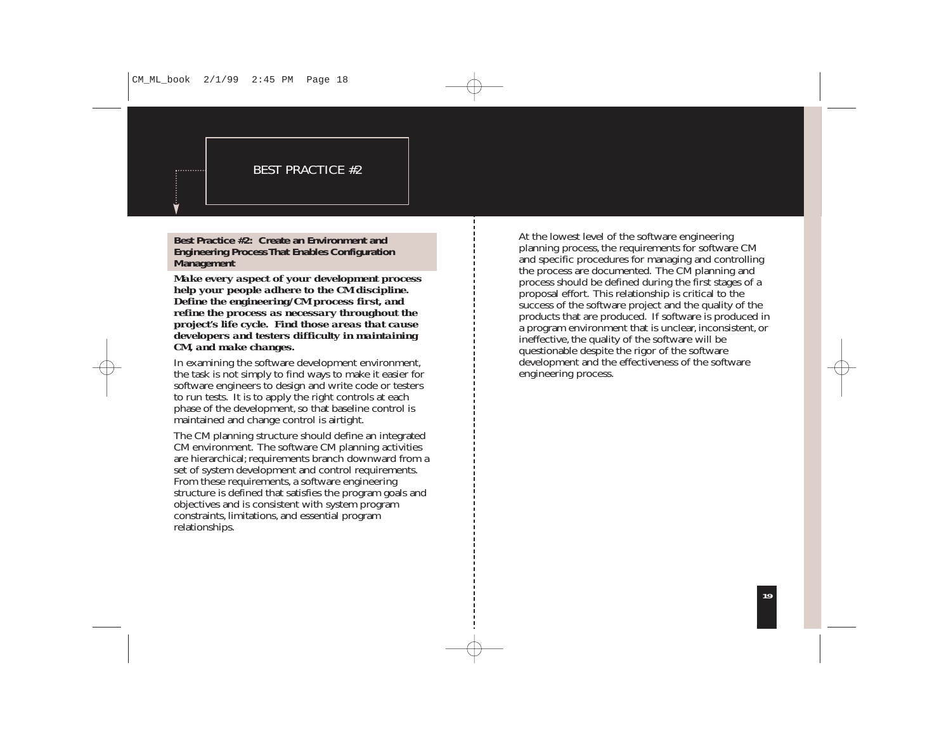**Best Practice #2: Create an Environment andEngineering Process That Enables Configuration Management**

*Make every aspect of your development process help your people adhere to the CM discipline. Define the engineering/CM process first, and refine the process as necessary throughout the project's life cycle. Find those areas that cause developers and testers difficulty in maintaining CM, and make changes.*

In examining the software development environment, the task is not simply to find ways to make it easier for software engineers to design and write code or testers to run tests. It is to apply the right controls at each phase of the development, so that baseline control is maintained and change control is airtight.

The CM planning structure should define an integrated CM environment. The software CM planning activities are hierarchical; requirements branch downward from a set of system development and control requirements. From these requirements, a software engineering structure is defined that satisfies the program goals and objectives and is consistent with system program constraints, limitations, and essential program relationships.

At the lowest level of the software engineering planning process, the requirements for software CM and specific procedures for managing and controlling the process are documented. The CM planning and process should be defined during the first stages of a proposal effort. This relationship is critical to the success of the software project and the quality of the products that are produced. If software is produced in a program environment that is unclear, inconsistent, or ineffective, the quality of the software will be questionable despite the rigor of the software development and the effectiveness of the software engineering process.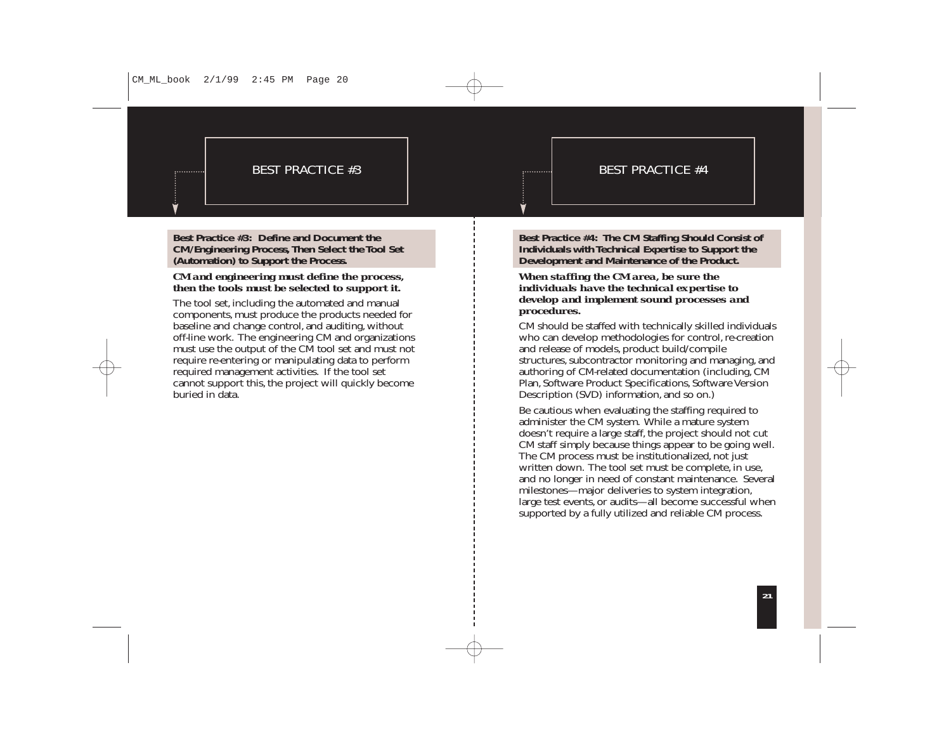### BEST PRACTICE #3

**Best Practice #3: Define and Document theCM/Engineering Process, Then Select the Tool Set (Automation) to Support the Process.**

#### *CM and engineering must define the process, then the tools must be selected to support it.*

The tool set, including the automated and manual components, must produce the products needed for baseline and change control, and auditing, without off-line work. The engineering CM and organizations must use the output of the CM tool set and must not require re-entering or manipulating data to perform required management activities. If the tool set cannot support this, the project will quickly become buried in data.

**Best Practice #4: The CM Staffing Should Consist of Individuals with Technical Expertise to Support the Development and Maintenance of the Product.**

 $\dot{\dot{\mathbf{v}}}$ 

*When staffing the CM area, be sure the individuals have the technical expertise to develop and implement sound processes and procedures.* 

CM should be staffed with technically skilled individuals who can develop methodologies for control, re-creation and release of models, product build/compile structures, subcontractor monitoring and managing, and authoring of CM-related documentation (including, CM Plan, Software Product Specifications, Software Version Description (SVD) information, and so on.)

Be cautious when evaluating the staffing required to administer the CM system. While a mature system doesn't require a large staff, the project should not cut CM staff simply because things appear to be going well. The CM process must be institutionalized, not just written down. The tool set must be complete, in use, and no longer in need of constant maintenance. Several milestones—major deliveries to system integration, large test events, or audits—all become successful when supported by a fully utilized and reliable CM process.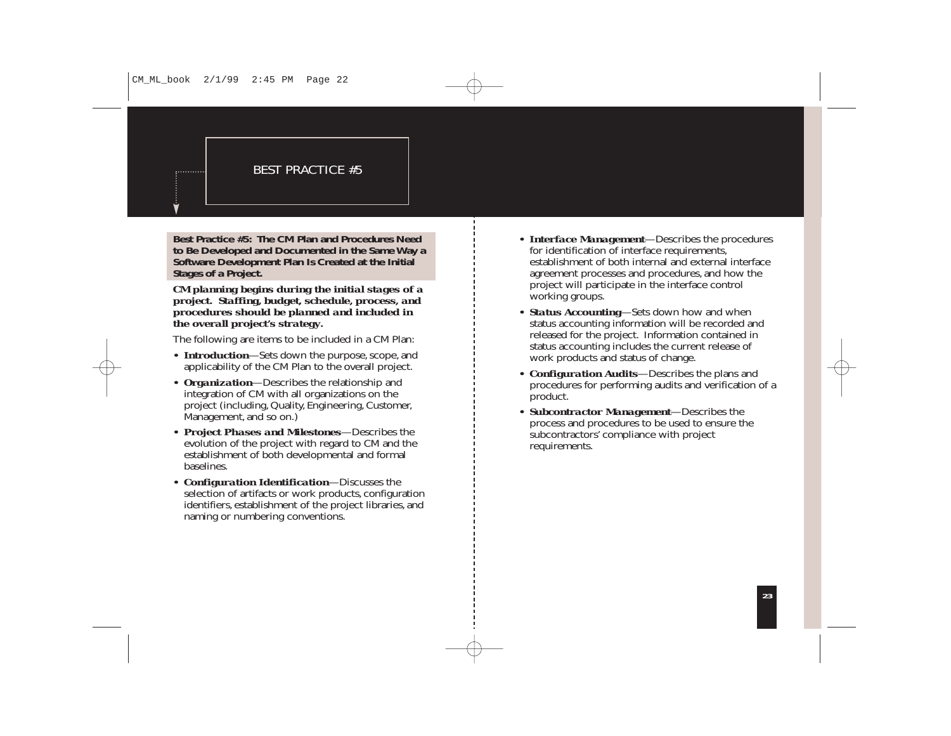### BEST PRACTICE #5

**Best Practice #5: The CM Plan and Procedures Needto Be Developed and Documented in the Same Way a Software Development Plan Is Created at the Initial Stages of a Project.**

*CM planning begins during the initial stages of a project. Staffing, budget, schedule, process, and procedures should be planned and included in the overall project's strategy.* 

The following are items to be included in a CM Plan:

- *Introduction***—Sets down the purpose, scope, and** applicability of the CM Plan to the overall project.
- *• Organization*—Describes the relationship and integration of CM with all organizations on the project (including, Quality, Engineering, Customer, Management, and so on.)
- *• Project Phases and Milestones*—Describes the evolution of the project with regard to CM and the establishment of both developmental and formal baselines.
- *• Configuration Identification*—Discusses the selection of artifacts or work products, configuration identifiers, establishment of the project libraries, and naming or numbering conventions.
- *• Interface Management*—Describes the procedures for identification of interface requirements, establishment of both internal and external interfaceagreement processes and procedures, and how the project will participate in the interface control working groups.
- *• Status Accounting*—Sets down how and when status accounting information will be recorded and released for the project. Information contained in status accounting includes the current release of work products and status of change.
- *• Configuration Audits*—Describes the plans and procedures for performing audits and verification of a product.
- *• Subcontractor Management*—Describes the process and procedures to be used to ensure the subcontractors' compliance with project requirements.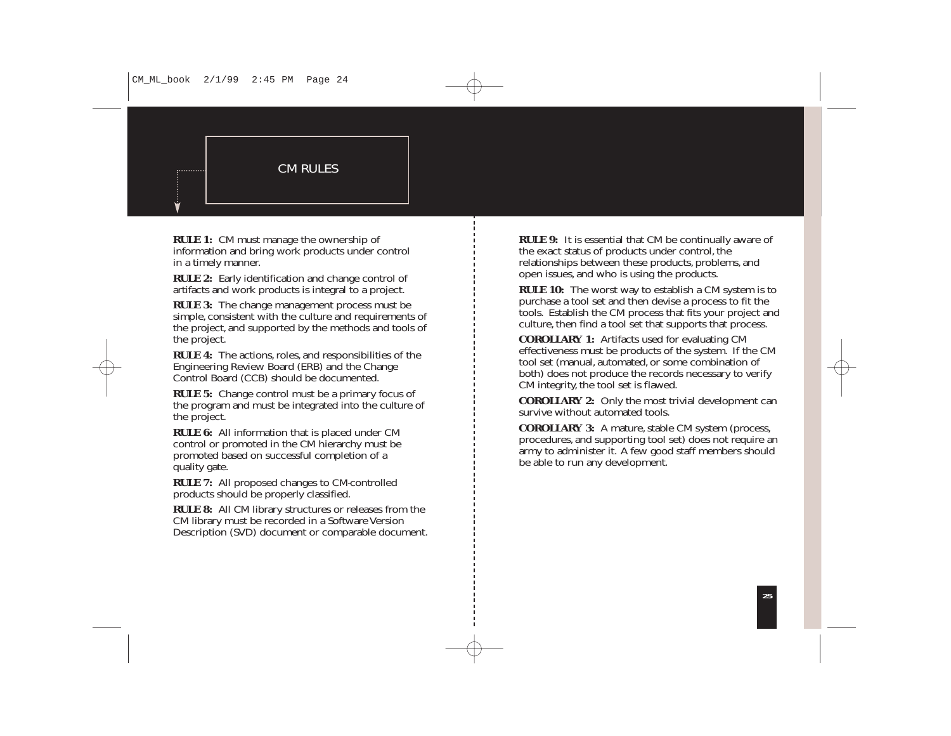**RULE 1:** CM must manage the ownership of information and bring work products under control in a timely manner.

ý

**RULE 2:** Early identification and change control of artifacts and work products is integral to a project.

**RULE 3:** The change management process must be simple, consistent with the culture and requirements of the project, and supported by the methods and tools of the project.

**RULE 4:** The actions, roles, and responsibilities of the Engineering Review Board (ERB) and the Change Control Board (CCB) should be documented.

**RULE 5:** Change control must be a primary focus of the program and must be integrated into the culture of the project.

**RULE 6:** All information that is placed under CM control or promoted in the CM hierarchy must be promoted based on successful completion of a quality gate.

**RULE 7:** All proposed changes to CM-controlled products should be properly classified.

**RULE 8:** All CM library structures or releases from the CM library must be recorded in a Software Version Description (SVD) document or comparable document. **RULE 9:** It is essential that CM be continually aware of the exact status of products under control, the relationships between these products, problems, and open issues, and who is using the products.

**RULE 10:** The worst way to establish a CM system is to purchase a tool set and then devise a process to fit the tools. Establish the CM process that fits your project and culture, then find a tool set that supports that process.

**COROLLARY 1:** Artifacts used for evaluating CM effectiveness must be products of the system. If the CM tool set (manual, automated, or some combination of both) does not produce the records necessary to verify CM integrity, the tool set is flawed.

**COROLLARY 2:** Only the most trivial development can survive without automated tools.

**COROLLARY 3:** A mature, stable CM system (process, procedures, and supporting tool set) does not require an army to administer it. A few good staff members should be able to run any development.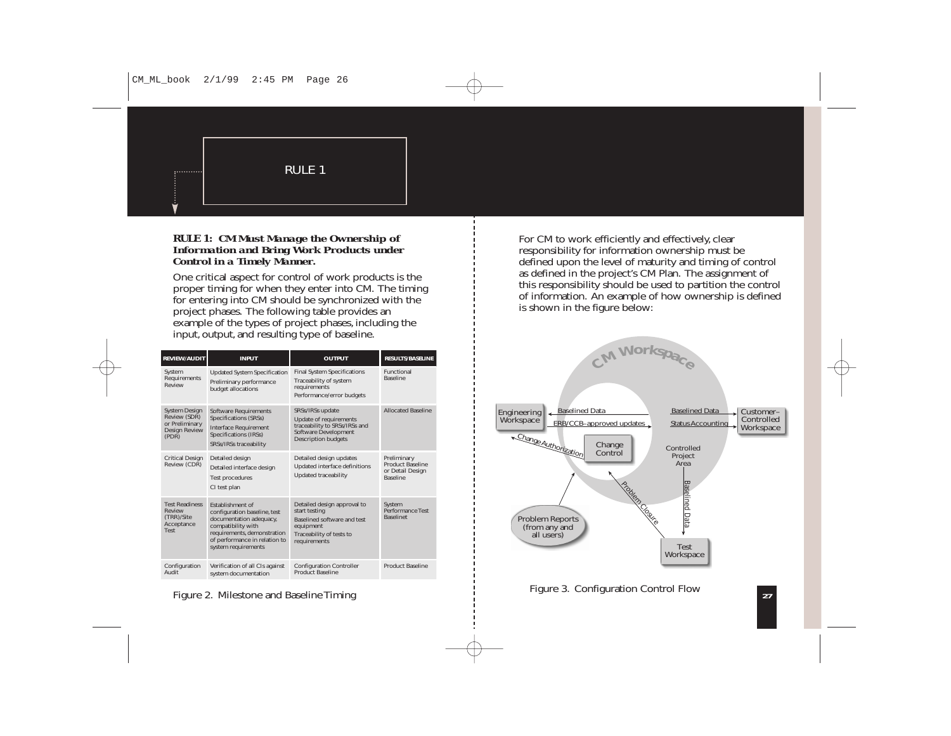#### **RULE 1:** *CM Must Manage the Ownership of Information and Bring Work Products under Control in a Timely Manner.*

One critical aspect for control of work products is the proper timing for when they enter into CM. The timing for entering into CM should be synchronized with the project phases. The following table provides an example of the types of project phases, including the input, output, and resulting type of baseline.

| <b>REVIEW/AUDIT</b>                                                                     | <b>INPUT</b>                                                                                                                                                                             | <b>OUTPUT</b>                                                                                                                            | RESULTS/BASELINE                                                              |
|-----------------------------------------------------------------------------------------|------------------------------------------------------------------------------------------------------------------------------------------------------------------------------------------|------------------------------------------------------------------------------------------------------------------------------------------|-------------------------------------------------------------------------------|
| System<br>Requirements<br>Review                                                        | <b>Updated System Specification</b><br>Preliminary performance<br>budget allocations                                                                                                     | <b>Final System Specifications</b><br>Traceability of system<br>requirements<br>Performance/error budgets                                | <b>Functional</b><br><b>Baseline</b>                                          |
| <b>System Design</b><br>Review (SDR)<br>or Preliminary<br><b>Design Review</b><br>(PDR) | <b>Software Requirements</b><br>Specifications (SRSs)<br><b>Interface Requirement</b><br>Specifications (IRSs)<br>SRSs/IRSs traceability                                                 | SRSs/IRSs update<br><b>Update of requirements</b><br>traceability to SRSs/IRSs and<br>Software Development<br><b>Description budgets</b> | <b>Allocated Baseline</b>                                                     |
| <b>Critical Design</b><br>Review (CDR)                                                  | Detailed design<br>Detailed interface design<br><b>Test procedures</b><br>CI test plan                                                                                                   | Detailed design updates<br><b>Updated interface definitions</b><br><b>Updated traceability</b>                                           | Preliminary<br><b>Product Baseline</b><br>or Detail Design<br><b>Baseline</b> |
| <b>Test Readiness</b><br>Review<br>$(TRR)/$ Site<br>Acceptance<br><b>Test</b>           | Establishment of<br>configuration baseline, test<br>documentation adequacy,<br>compatibility with<br>requirements, demonstration<br>of performance in relation to<br>system requirements | Detailed design approval to<br>start testing<br>Baselined software and test<br>equipment<br>Traceability of tests to<br>requirements     | System<br>Performance Test<br><b>Baselinet</b>                                |
| Configuration<br>Audit                                                                  | Verification of all CIs against<br>system documentation                                                                                                                                  | <b>Configuration Controller</b><br><b>Product Baseline</b>                                                                               | <b>Product Baseline</b>                                                       |

Figure 2. Milestone and Baseline Timing

For CM to work efficiently and effectively, clear responsibility for information ownership must be defined upon the level of maturity and timing of control as defined in the project's CM Plan. The assignment of this responsibility should be used to partition the control of information. An example of how ownership is defined is shown in the figure below:



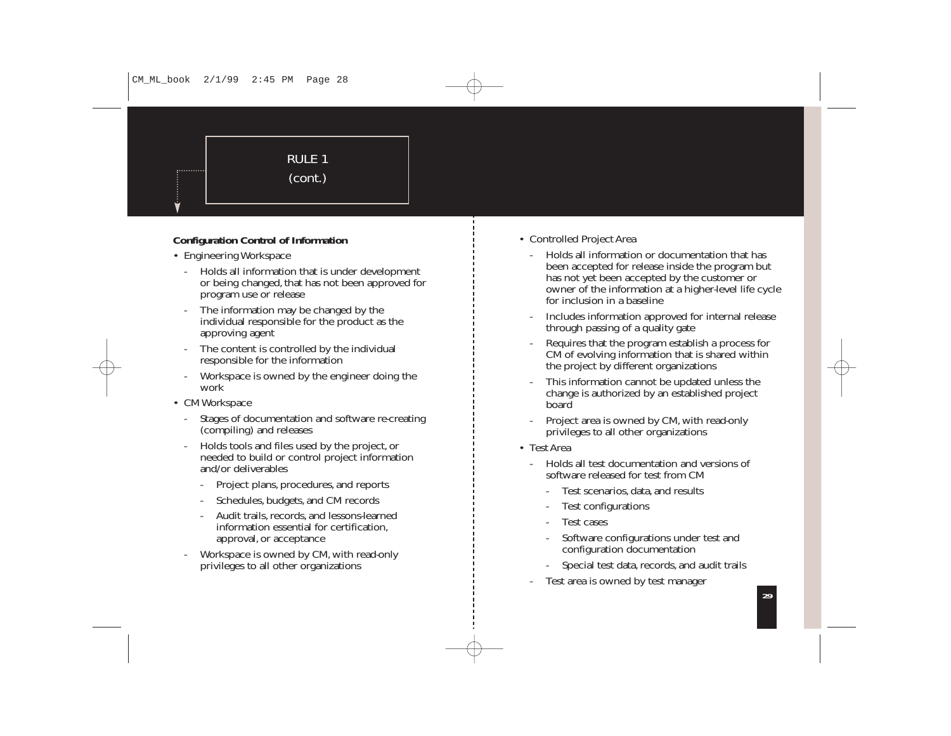### RULE 1(cont.)

### **Configuration Control of Information**

• Engineering Workspace

ý

- Holds all information that is under development or being changed, that has not been approved for program use or release
- The information may be changed by the individual responsible for the product as the approving agent
- The content is controlled by the individual responsible for the information
- Workspace is owned by the engineer doing the work
- CM Workspace
	- Stages of documentation and software re-creating (compiling) and releases
	- Holds tools and files used by the project, or needed to build or control project information and/or deliverables
		- -Project plans, procedures, and reports
		- -Schedules, budgets, and CM records
		- Audit trails, records, and lessons-learned information essential for certification, approval, or acceptance
	- Workspace is owned by CM, with read-only privileges to all other organizations
- Controlled Project Area
	- Holds all information or documentation that has been accepted for release inside the program but has not yet been accepted by the customer or owner of the information at a higher-level life cycle for inclusion in a baseline
	- Includes information approved for internal release through passing of a quality gate
	- Requires that the program establish a process for CM of evolving information that is shared within the project by different organizations
	- This information cannot be updated unless the change is authorized by an established project board
	- Project area is owned by CM, with read-only privileges to all other organizations
- Test Area
	- Holds all test documentation and versions ofsoftware released for test from CM
		- Test scenarios, data, and results
		- Test configurations
		- Test cases
		- Software configurations under test and configuration documentation
		- Special test data, records, and audit trails
	- Test area is owned by test manager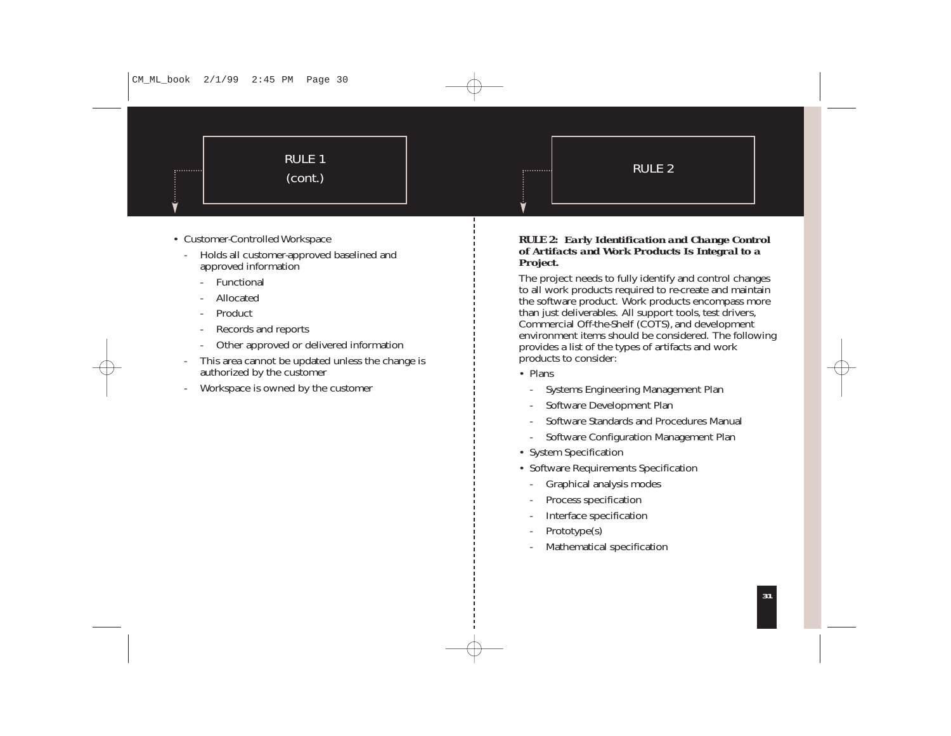### RULE 1 $\begin{array}{|c|c|c|c|}\hline \text{cont.} & & & \text{RULE 2} \ \hline \end{array}$

- Customer-Controlled Workspace
	- Holds all customer-approved baselined and approved information
		- Functional
		- Allocated
		- **Product**
		- -Records and reports
		- -Other approved or delivered information
	- This area cannot be updated unless the change is authorized by the customer
	- Workspace is owned by the customer

#### **RULE 2:** *Early Identification and Change Control of Artifacts and Work Products Is Integral to a Project.*

The project needs to fully identify and control changes to all work products required to re-create and maintain the software product. Work products encompass more than just deliverables. All support tools, test drivers, Commercial Off-the-Shelf (COTS), and development environment items should be considered. The following provides a list of the types of artifacts and work products to consider:

• Plans

 $\ddot{\dot{}}$ 

- Systems Engineering Management Plan
- Software Development Plan
- Software Standards and Procedures Manual
- Software Configuration Management Plan
- System Specification
- Software Requirements Specification
	- Graphical analysis modes
	- Process specification
	- Interface specification
	- Prototype(s)
- Mathematical specification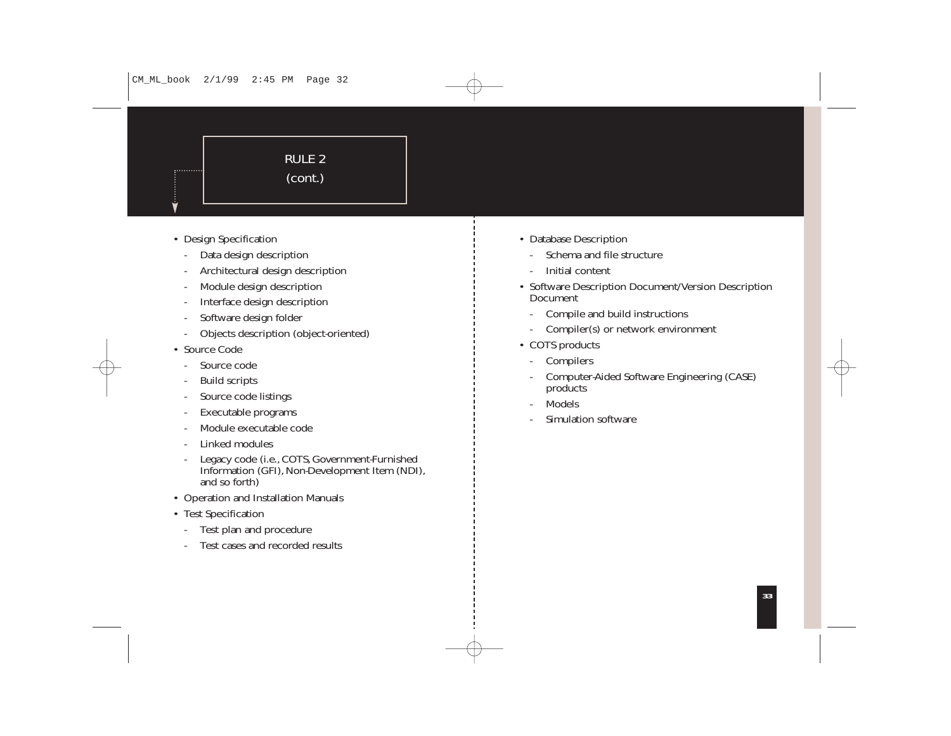### RULE 2(cont.)

- Design Specification
	- Data design description
	- Architectural design description
	- Module design description
	- Interface design description
	- Software design folder
	- Objects description (object-oriented)
- Source Code
	- Source code
	- Build scripts
	- Source code listings
	- Executable programs
	- Module executable code
	- Linked modules
	- Legacy code (i.e., COTS, Government-Furnished Information (GFI), Non-Development Item (NDI), and so forth)
- Operation and Installation Manuals
- Test Specification
	- Test plan and procedure
	- Test cases and recorded results
- Database Description
	- Schema and file structure
	- Initial content
- Software Description Document/Version Description Document
	- Compile and build instructions
	- -Compiler(s) or network environment
- COTS products
	- -Compilers
	- Computer-Aided Software Engineering (CASE) products
	- Models
	- Simulation software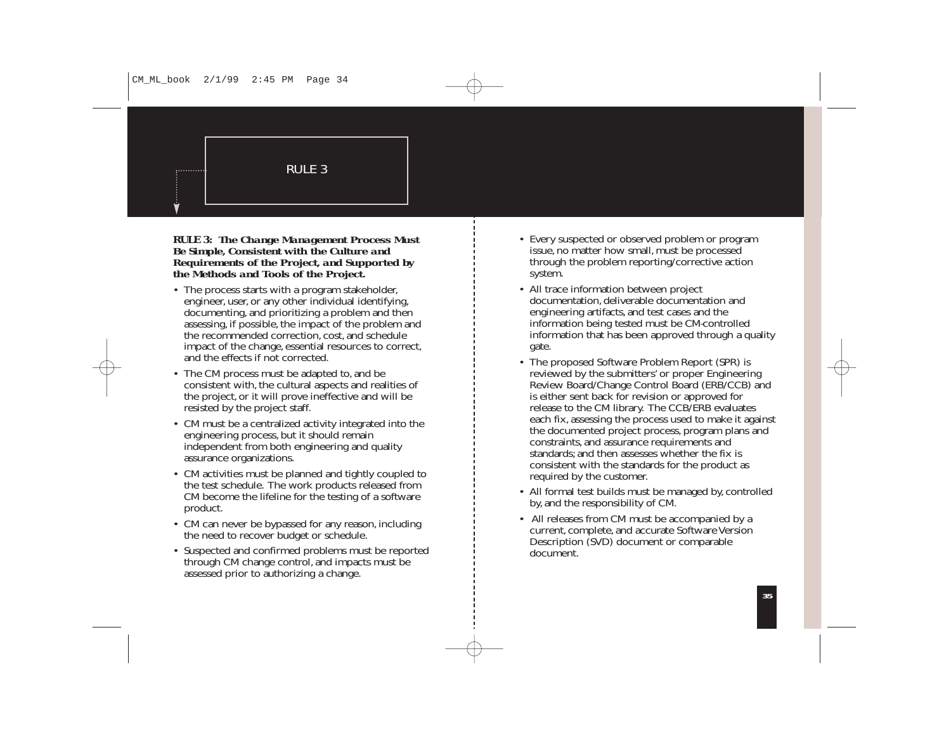#### **RULE 3:** *The Change Management Process Must Be Simple, Consistent with the Culture and Requirements of the Project, and Supported by the Methods and Tools of the Project.*

- The process starts with a program stakeholder, engineer, user, or any other individual identifying, documenting, and prioritizing a problem and then assessing, if possible, the impact of the problem and the recommended correction, cost, and schedule impact of the change, essential resources to correct, and the effects if not corrected.
- The CM process must be adapted to, and be consistent with, the cultural aspects and realities of the project, or it will prove ineffective and will be resisted by the project staff.
- CM must be a centralized activity integrated into the engineering process, but it should remain independent from both engineering and quality assurance organizations.
- CM activities must be planned and tightly coupled to the test schedule. The work products released from CM become the lifeline for the testing of a software product.
- CM can never be bypassed for any reason, including the need to recover budget or schedule.
- Suspected and confirmed problems must be reported through CM change control, and impacts must be assessed prior to authorizing a change.
- Every suspected or observed problem or program issue, no matter how small, must be processed through the problem reporting/corrective action system.
- All trace information between project documentation, deliverable documentation and engineering artifacts, and test cases and the information being tested must be CM-controlled information that has been approved through a quality gate.
- The proposed Software Problem Report (SPR) is reviewed by the submitters' or proper Engineering Review Board/Change Control Board (ERB/CCB) and is either sent back for revision or approved for release to the CM library. The CCB/ERB evaluates each fix, assessing the process used to make it against the documented project process, program plans and constraints, and assurance requirements and standards; and then assesses whether the fix is consistent with the standards for the product as required by the customer.
- All formal test builds must be managed by, controlled by, and the responsibility of CM.
- All releases from CM must be accompanied by a current, complete, and accurate Software Version Description (SVD) document or comparable document.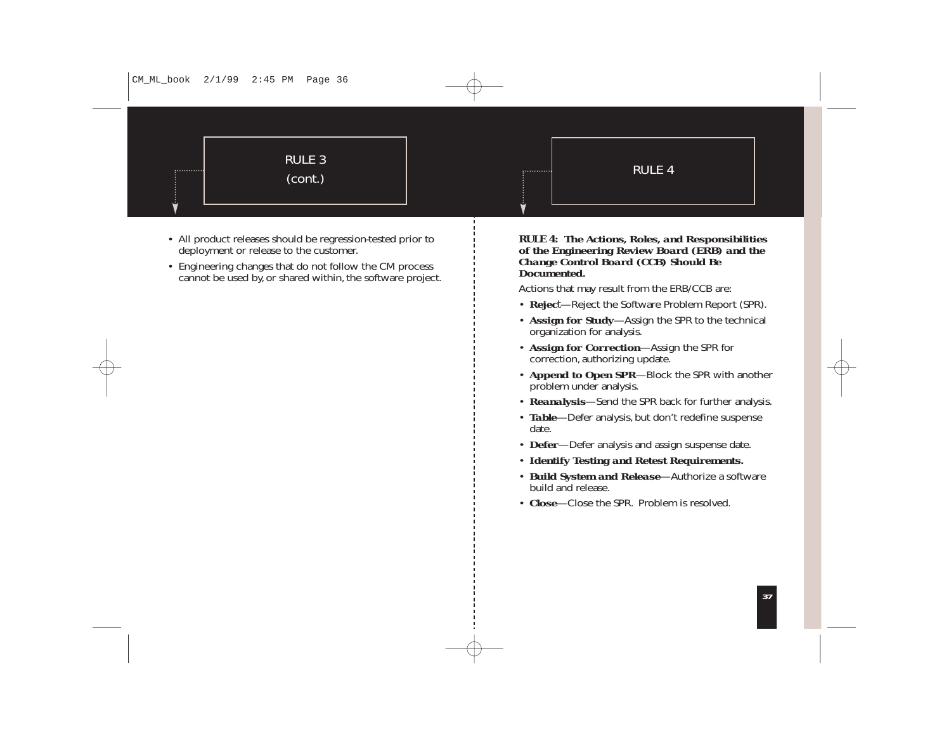

- All product releases should be regression-tested prior to deployment or release to the customer.
- Engineering changes that do not follow the CM process cannot be used by, or shared within, the software project.

#### **RULE 4:** *The Actions, Roles, and Responsibilities of the Engineering Review Board (ERB) and the Change Control Board (CCB) Should Be Documented.*

Actions that may result from the ERB/CCB are:

- *Reject*—Reject the Software Problem Report (SPR).
- *Assign for Study*—Assign the SPR to the technical organization for analysis.
- *Assign for Correction*—Assign the SPR for correction, authorizing update.
- *Append to Open SPR*—Block the SPR with another problem under analysis.
- *Reanalysis*—Send the SPR back for further analysis.
- *Table*—Defer analysis, but don't redefine suspense date.
- *Defer*—Defer analysis and assign suspense date.
- *Identify Testing and Retest Requirements.*
- *Build System and Release*—Authorize a software build and release.
- *Close*—Close the SPR. Problem is resolved.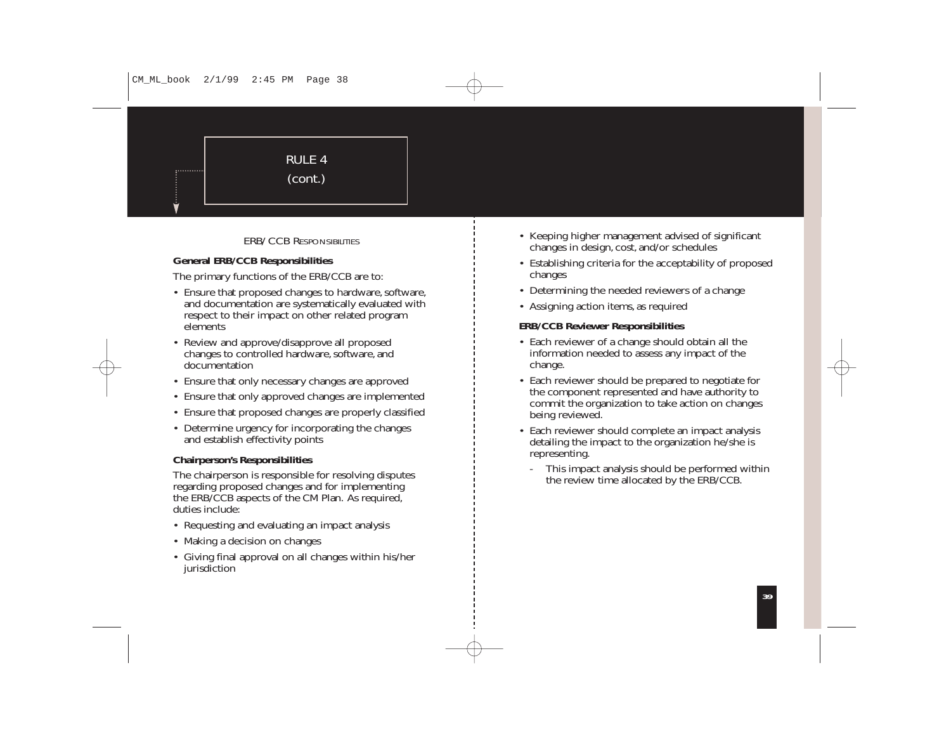### RULE 4(cont.)

### ERB/CCB RESPONSIBILITIES

**General ERB/CCB Responsibilities**

The primary functions of the ERB/CCB are to:

- Ensure that proposed changes to hardware, software, and documentation are systematically evaluated with respect to their impact on other related program elements
- Review and approve/disapprove all proposed changes to controlled hardware, software, and documentation
- Ensure that only necessary changes are approved
- Ensure that only approved changes are implemented
- Ensure that proposed changes are properly classified
- Determine urgency for incorporating the changes and establish effectivity points

### **Chairperson's Responsibilities**

The chairperson is responsible for resolving disputes regarding proposed changes and for implementing the ERB/CCB aspects of the CM Plan. As required, duties include:

- Requesting and evaluating an impact analysis
- Making a decision on changes
- Giving final approval on all changes within his/her jurisdiction
- Keeping higher management advised of significant changes in design, cost, and/or schedules
- Establishing criteria for the acceptability of proposed changes
- Determining the needed reviewers of a change
- Assigning action items, as required

**ERB/CCB Reviewer Responsibilities**

- Each reviewer of a change should obtain all the information needed to assess any impact of the change.
- Each reviewer should be prepared to negotiate for the component represented and have authority to commit the organization to take action on changes being reviewed.
- Each reviewer should complete an impact analysis detailing the impact to the organization he/she is representing.
	- This impact analysis should be performed within the review time allocated by the ERB/CCB.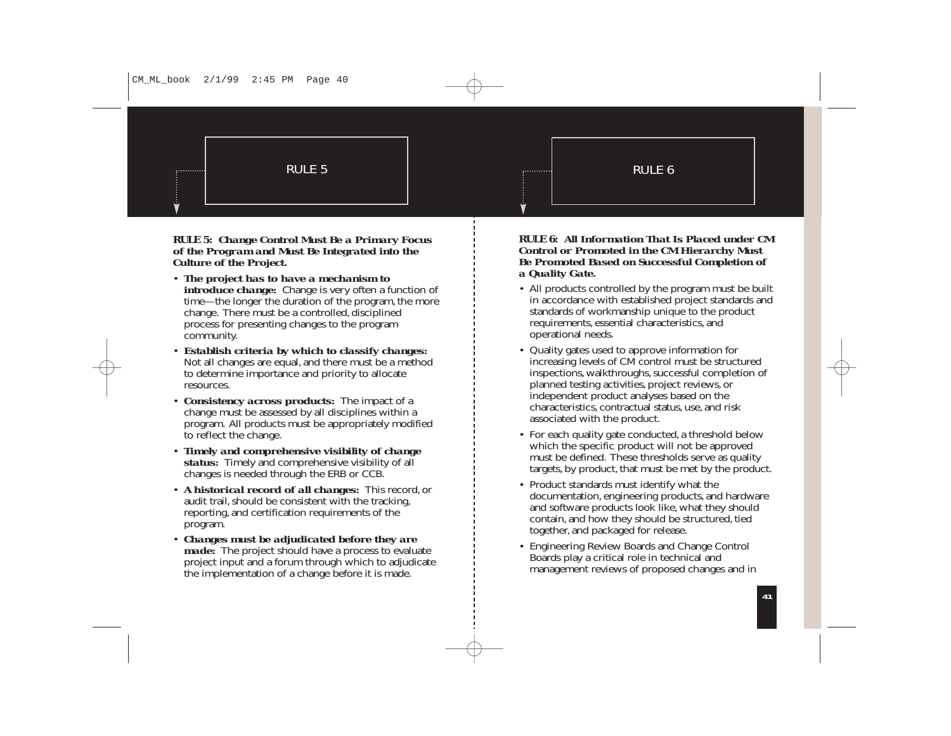#### **RULE 5:** *Change Control Must Be a Primary Focus of the Program and Must Be Integrated into the Culture of the Project.*

- *The project has to have a mechanism to introduce change:* Change is very often a function of time—the longer the duration of the program, the more change. There must be a controlled, disciplined process for presenting changes to the program community.
- *Establish criteria by which to classify changes:* Not all changes are equal, and there must be a method to determine importance and priority to allocate resources.
- *Consistency across products:* The impact of a change must be assessed by all disciplines within a program. All products must be appropriately modified to reflect the change.
- *Timely and comprehensive visibility of change status:* Timely and comprehensive visibility of all changes is needed through the ERB or CCB.
- *A historical record of all changes:* This record, or audit trail, should be consistent with the tracking, reporting, and certification requirements of the program.
- *Changes must be adjudicated before they are made:* The project should have a process to evaluate project input and a forum through which to adjudicate the implementation of a change before it is made.

#### **RULE 6:** *All Information That Is Placed under CMControl or Promoted in the CM Hierarchy Must Be Promoted Based on Successful Completion of a Quality Gate.*

 $\dot{\dot{}}$ 

- All products controlled by the program must be built in accordance with established project standards and standards of workmanship unique to the product requirements, essential characteristics, and operational needs.
- Quality gates used to approve information for increasing levels of CM control must be structured inspections, walkthroughs, successful completion of planned testing activities, project reviews, or independent product analyses based on the characteristics, contractual status, use, and risk associated with the product.
- For each quality gate conducted, a threshold below which the specific product will not be approved must be defined. These thresholds serve as quality targets, by product, that must be met by the product.
- Product standards must identify what the documentation, engineering products, and hardware and software products look like, what they should contain, and how they should be structured, tied together, and packaged for release.
- Engineering Review Boards and Change Control Boards play a critical role in technical and management reviews of proposed changes and in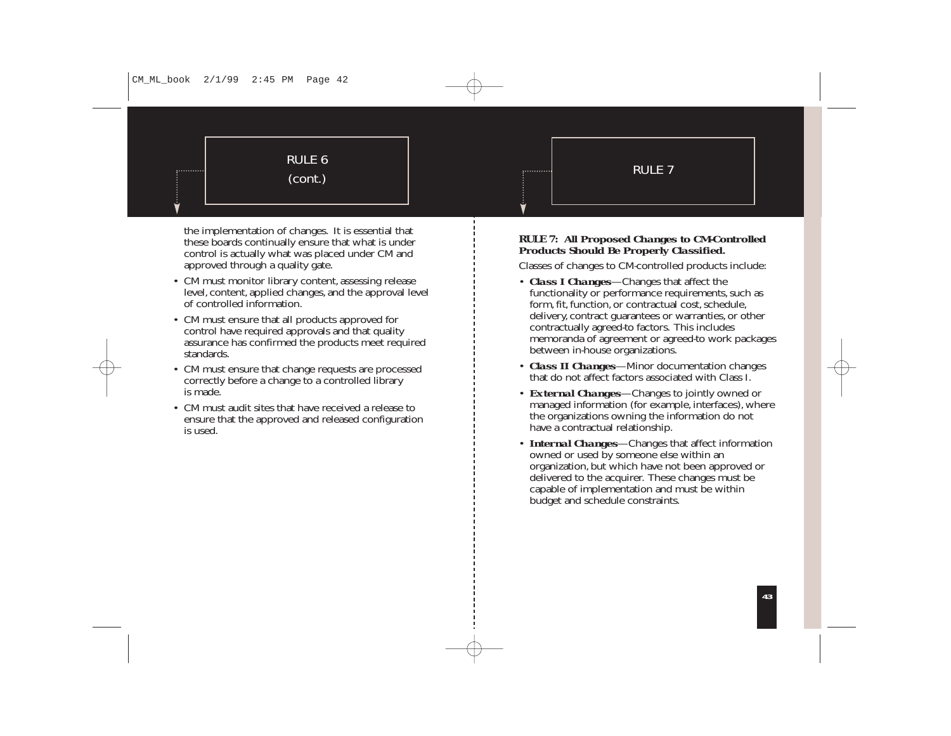## RULE 6 $\begin{array}{|c|c|c|c|}\hline \text{cont.} & & & \text{RULE 7}\ \hline \end{array}$ . . . . . . . . . .  $\dot{\dot{}}$

the implementation of changes. It is essential that these boards continually ensure that what is under control is actually what was placed under CM and approved through a quality gate.

- CM must monitor library content, assessing release level, content, applied changes, and the approval level of controlled information.
- CM must ensure that all products approved for control have required approvals and that quality assurance has confirmed the products meet required standards.
- CM must ensure that change requests are processed correctly before a change to a controlled library is made.
- CM must audit sites that have received a release toensure that the approved and released configuration is used.

### **RULE 7:** *All Proposed Changes to CM-Controlled Products Should Be Properly Classified.*

Classes of changes to CM-controlled products include:

- *Class I Changes*—Changes that affect the functionality or performance requirements, such as form, fit, function, or contractual cost, schedule, delivery, contract guarantees or warranties, or other contractually agreed-to factors. This includes memoranda of agreement or agreed-to work packages between in-house organizations.
- *Class II Changes*—Minor documentation changes that do not affect factors associated with Class I.
- *External Changes*—Changes to jointly owned or managed information (for example, interfaces), where the organizations owning the information do not have a contractual relationship.
- *Internal Changes*—Changes that affect information owned or used by someone else within an organization, but which have not been approved or delivered to the acquirer. These changes must be capable of implementation and must be within budget and schedule constraints.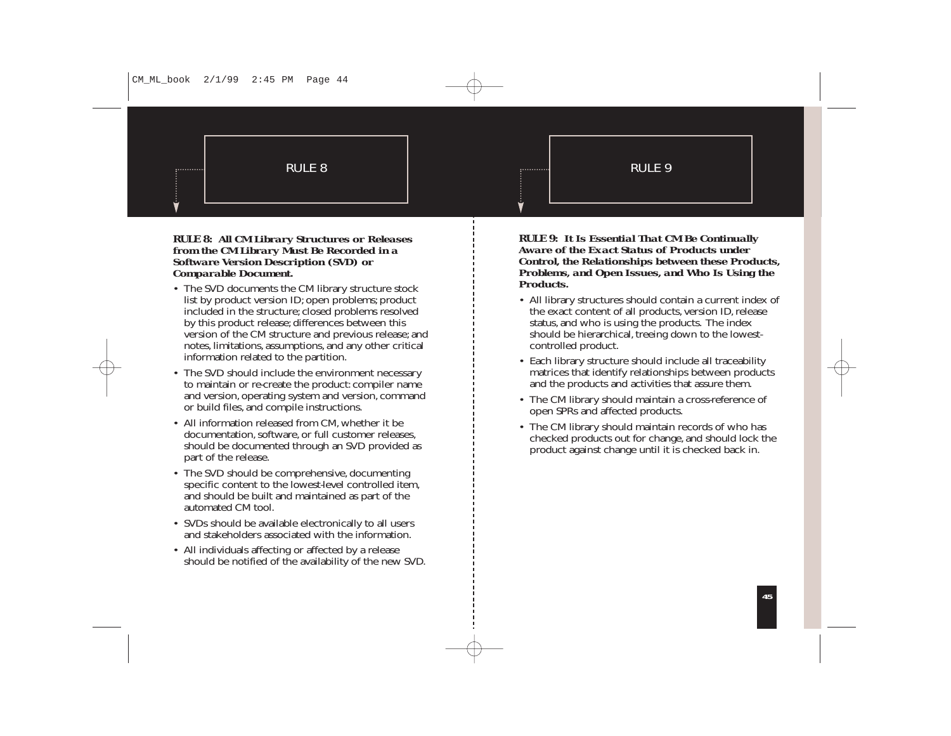#### **RULE 8:** *All CM Library Structures or Releases from the CM Library Must Be Recorded in a Software Version Description (SVD) or Comparable Document.*

. . . . . . . . . . .

- The SVD documents the CM library structure stock list by product version ID; open problems; product included in the structure; closed problems resolved by this product release; differences between this version of the CM structure and previous release; and notes, limitations, assumptions, and any other critical information related to the partition.
- The SVD should include the environment necessary to maintain or re-create the product: compiler name and version, operating system and version, command or build files, and compile instructions.
- All information released from CM, whether it be documentation, software, or full customer releases, should be documented through an SVD provided as part of the release.
- The SVD should be comprehensive, documenting specific content to the lowest-level controlled item, and should be built and maintained as part of the automated CM tool.
- SVDs should be available electronically to all users and stakeholders associated with the information.
- All individuals affecting or affected by a release should be notified of the availability of the new SVD.

**RULE 9:** *It Is Essential That CM Be Continually Aware of the Exact Status of Products underControl, the Relationships between these Products, Problems, and Open Issues, and Who Is Using the Products.*

- All library structures should contain a current index of the exact content of all products, version ID, release status, and who is using the products. The index should be hierarchical, treeing down to the lowestcontrolled product.
- Each library structure should include all traceability matrices that identify relationships between products and the products and activities that assure them.
- The CM library should maintain a cross-reference of open SPRs and affected products.
- The CM library should maintain records of who has checked products out for change, and should lock the product against change until it is checked back in.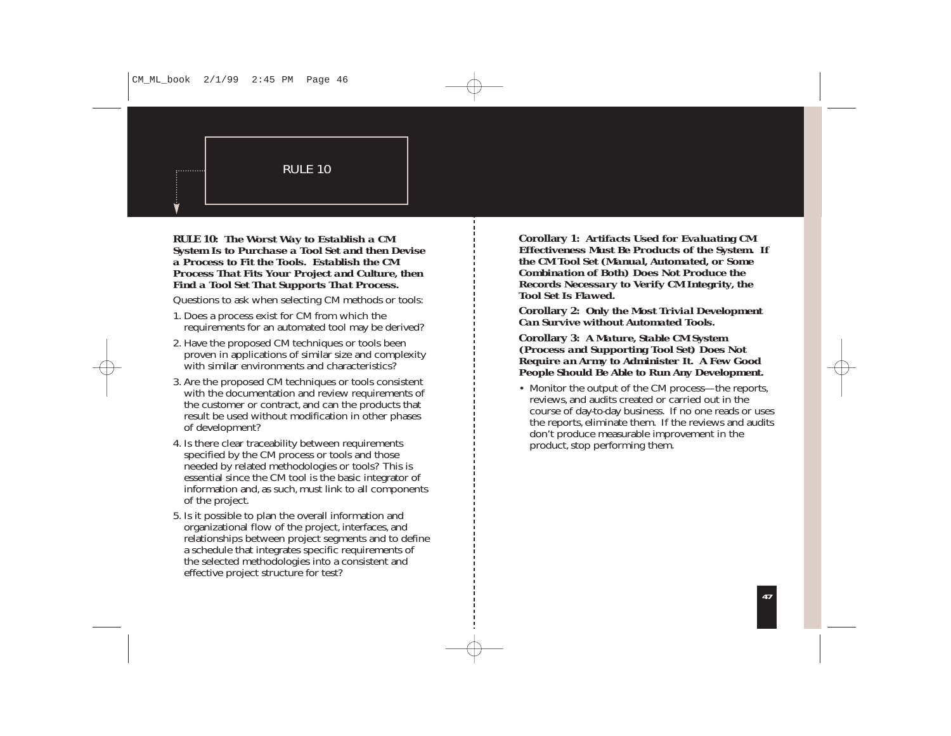**RULE 10:** *The Worst Way to Establish a CM System Is to Purchase a Tool Set and then Devise a Process to Fit the Tools. Establish the CMProcess That Fits Your Project and Culture, then Find a Tool Set That Supports That Process.*

Questions to ask when selecting CM methods or tools:

- 1. Does a process exist for CM from which the requirements for an automated tool may be derived?
- 2. Have the proposed CM techniques or tools been proven in applications of similar size and complexity with similar environments and characteristics?
- 3. Are the proposed CM techniques or tools consistent with the documentation and review requirements of the customer or contract, and can the products that result be used without modification in other phases of development?
- 4. Is there clear traceability between requirements specified by the CM process or tools and those needed by related methodologies or tools? This is essential since the CM tool is the basic integrator of information and, as such, must link to all components of the project.
- 5. Is it possible to plan the overall information and organizational flow of the project, interfaces, and relationships between project segments and to define a schedule that integrates specific requirements of the selected methodologies into a consistent and effective project structure for test?

**Corollary 1:** *Artifacts Used for Evaluating CM Effectiveness Must Be Products of the System. If the CM Tool Set (Manual, Automated, or Some Combination of Both) Does Not Produce the Records Necessary to Verify CM Integrity, the Tool Set Is Flawed.*

**Corollary 2:** *Only the Most Trivial Development Can Survive without Automated Tools.*

**Corollary 3:** *A Mature, Stable CM System (Process and Supporting Tool Set) Does Not Require an Army to Administer It. A Few Good People Should Be Able to Run Any Development.*

• Monitor the output of the CM process—the reports, reviews, and audits created or carried out in the course of day-to-day business. If no one reads or uses the reports, eliminate them. If the reviews and audits don't produce measurable improvement in the product, stop performing them.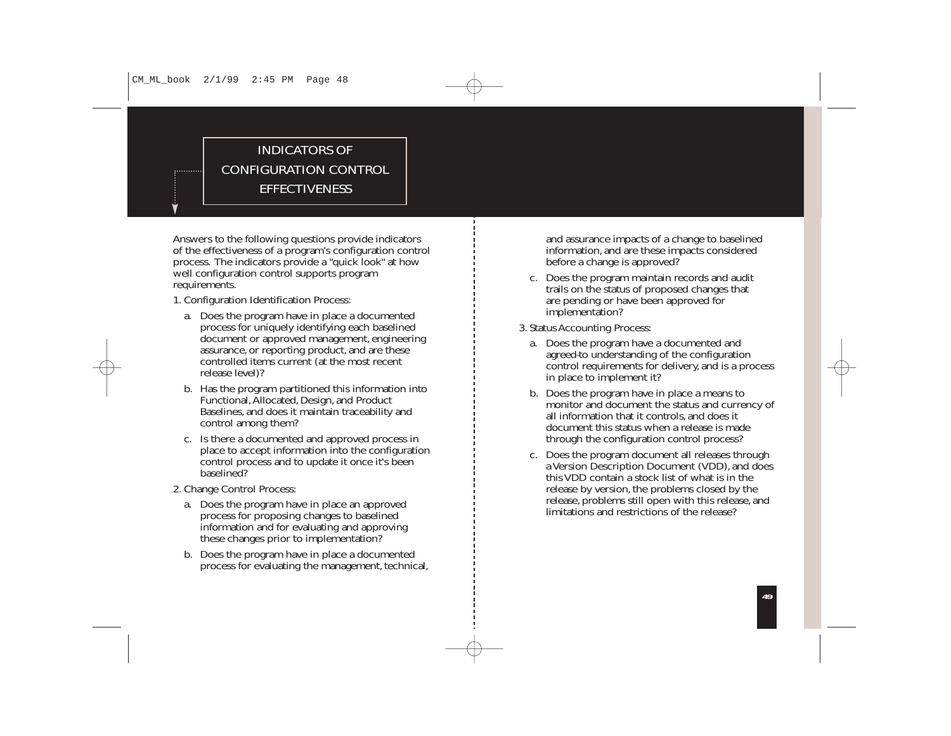### INDICATORS OFCONFIGURATION CONTROL**EFFECTIVENESS**

Answers to the following questions provide indicators of the effectiveness of a program's configuration control process. The indicators provide a "quick look" at how well configuration control supports program requirements.

1. Configuration Identification Process:

. . . . . . . . . .

- a. Does the program have in place a documented process for uniquely identifying each baselined document or approved management, engineering assurance, or reporting product, and are these controlled items current (at the most recent release level)?
- b. Has the program partitioned this information into Functional, Allocated, Design, and Product Baselines, and does it maintain traceability and control among them?
- c. Is there a documented and approved process in place to accept information into the configuration control process and to update it once it's been baselined?
- 2. Change Control Process:
	- a. Does the program have in place an approved process for proposing changes to baselined information and for evaluating and approving these changes prior to implementation?
	- b. Does the program have in place a documented process for evaluating the management, technical,

and assurance impacts of a change to baselined information, and are these impacts considered before a change is approved?

- c. Does the program maintain records and audit trails on the status of proposed changes that are pending or have been approved for implementation?
- 3. Status Accounting Process:
	- a. Does the program have a documented and agreed-to understanding of the configuration control requirements for delivery, and is a process in place to implement it?
	- b. Does the program have in place a means to monitor and document the status and currency of all information that it controls, and does it document this status when a release is madethrough the configuration control process?
	- c. Does the program document all releases through a Version Description Document (VDD), and does this VDD contain a stock list of what is in therelease by version, the problems closed by the release, problems still open with this release, and limitations and restrictions of the release?